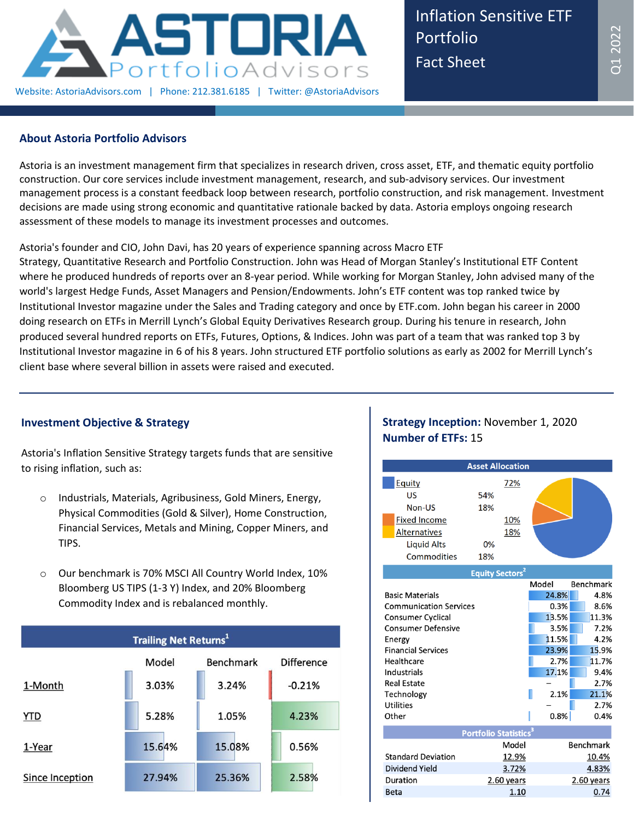

Inflation Sensitive ETF Portfolio Fact Sheet

## **About Astoria Portfolio Advisors**

Astoria is an investment management firm that specializes in research driven, cross asset, ETF, and thematic equity portfolio construction. Our core services include investment management, research, and sub-advisory services. Our investment management process is a constant feedback loop between research, portfolio construction, and risk management. Investment decisions are made using strong economic and quantitative rationale backed by data. Astoria employs ongoing research assessment of these models to manage its investment processes and outcomes.

## Astoria's founder and CIO, John Davi, has 20 years of experience spanning across Macro ETF

Strategy, Quantitative Research and Portfolio Construction. John was Head of Morgan Stanley's Institutional ETF Content where he produced hundreds of reports over an 8-year period. While working for Morgan Stanley, John advised many of the world's largest Hedge Funds, Asset Managers and Pension/Endowments. John's ETF content was top ranked twice by Institutional Investor magazine under the Sales and Trading category and once by ETF.com. John began his career in 2000 doing research on ETFs in Merrill Lynch's Global Equity Derivatives Research group. During his tenure in research, John produced several hundred reports on ETFs, Futures, Options, & Indices. John was part of a team that was ranked top 3 by Institutional Investor magazine in 6 of his 8 years. John structured ETF portfolio solutions as early as 2002 for Merrill Lynch's client base where several billion in assets were raised and executed.

## **Investment Objective & Strategy**

Astoria's Inflation Sensitive Strategy targets funds that are sensitive to rising inflation, such as:

- o Industrials, Materials, Agribusiness, Gold Miners, Energy, Physical Commodities (Gold & Silver), Home Construction, Financial Services, Metals and Mining, Copper Miners, and TIPS.
- o Our benchmark is 70% MSCI All Country World Index, 10% Bloomberg US TIPS (1-3 Y) Index, and 20% Bloomberg Commodity Index and is rebalanced monthly.

| <b>Trailing Net Returns</b> <sup>1</sup> |        |           |                   |  |  |  |
|------------------------------------------|--------|-----------|-------------------|--|--|--|
|                                          | Model  | Benchmark | <b>Difference</b> |  |  |  |
| 1-Month                                  | 3.03%  | 3.24%     | $-0.21%$          |  |  |  |
| <b>YTD</b>                               | 5.28%  | 1.05%     | 4.23%             |  |  |  |
| 1-Year                                   | 15.64% | 15.08%    | 0.56%             |  |  |  |
| Since Inception                          | 27.94% | 25.36%    | 2.58%             |  |  |  |

# **Strategy Inception:** November 1, 2020 **Number of ETFs:** 15

|                                                                                                                                                                                                                                                       |                         | <b>Asset Allocation</b>                       |                                                                                            |                                                                                                                      |
|-------------------------------------------------------------------------------------------------------------------------------------------------------------------------------------------------------------------------------------------------------|-------------------------|-----------------------------------------------|--------------------------------------------------------------------------------------------|----------------------------------------------------------------------------------------------------------------------|
| Equity<br>US<br>Non-US<br><b>Fixed Income</b><br><b>Alternatives</b><br><b>Liquid Alts</b><br>Commodities                                                                                                                                             | 54%<br>18%<br>0%<br>18% | 72%<br>10%<br>18%                             |                                                                                            |                                                                                                                      |
|                                                                                                                                                                                                                                                       |                         | <b>Equity Sectors<sup>2</sup></b>             |                                                                                            |                                                                                                                      |
| <b>Basic Materials</b><br><b>Communication Services</b><br><b>Consumer Cyclical</b><br><b>Consumer Defensive</b><br>Energy<br><b>Financial Services</b><br>Healthcare<br>Industrials<br><b>Real Estate</b><br>Technology<br><b>Utilities</b><br>Other |                         |                                               | Model<br>24.8%<br>0.3%<br>13.5%<br>3.5%<br>11.5%<br>23.9%<br>2.7%<br>17.1%<br>2.1%<br>0.8% | <b>Benchmark</b><br>4.8%<br>8.6%<br>11.3%<br>7.2%<br>4.2%<br>15.9%<br>11.7%<br>9.4%<br>2.7%<br>21.1%<br>2.7%<br>0.4% |
|                                                                                                                                                                                                                                                       |                         | <b>Portfolio Statistics</b> <sup>3</sup>      |                                                                                            |                                                                                                                      |
| <b>Standard Deviation</b><br><b>Dividend Yield</b><br>Duration<br><b>Beta</b>                                                                                                                                                                         |                         | Model<br>12.9%<br>3.72%<br>2.60 years<br>1.10 |                                                                                            | <b>Benchmark</b><br>10.4%<br>4.83%<br>2.60 years<br>0.74                                                             |
|                                                                                                                                                                                                                                                       |                         |                                               |                                                                                            |                                                                                                                      |